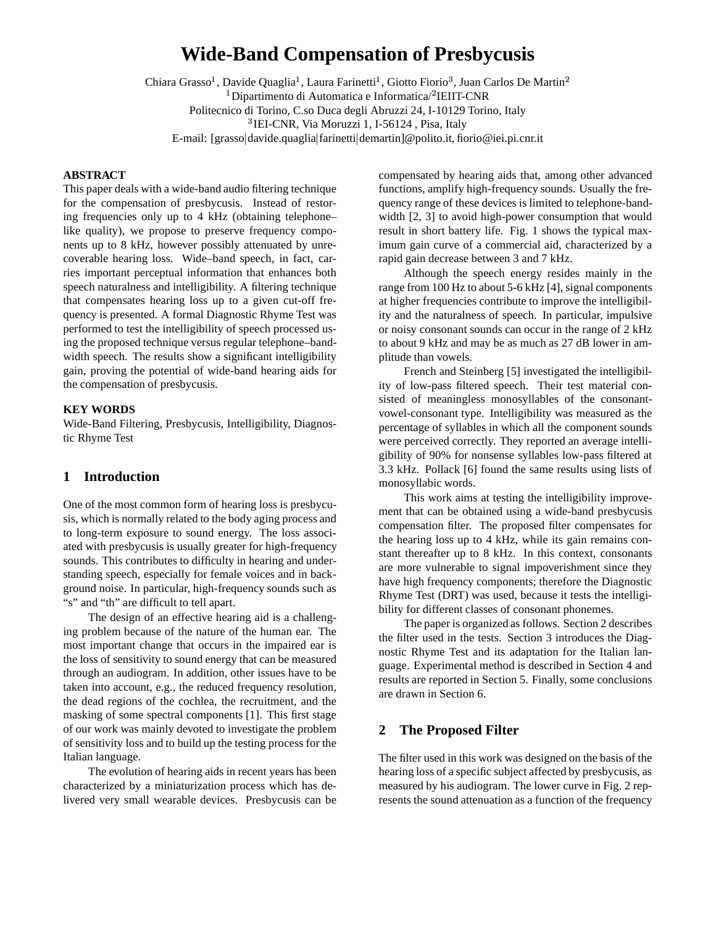# **Wide-Band Compensation of Presbycusis**

Chiara Grasso<sup>1</sup>, Davide Quaglia<sup>1</sup>, Laura Farinetti<sup>1</sup>, Giotto Fiorio<sup>3</sup>, Juan Carlos De Martin  $\rm ^1$ Dipartimento di Automatica e Informatica/ $\rm ^2IEII$ T-CNR Politecnico di Torino, C.so Duca degli Abruzzi 24, I-10129 Torino, Italy <sup>3</sup>IEI-CNR, Via Moruzzi 1, I-56124, Pisa, Italy E-mail: [grasso davide.quaglia farinetti demartin]@polito.it, fiorio@iei.pi.cnr.it

#### **ABSTRACT**

This paper deals with a wide-band audio filtering technique for the compensation of presbycusis. Instead of restoring frequencies only up to 4 kHz (obtaining telephone– like quality), we propose to preserve frequency components up to 8 kHz, however possibly attenuated by unrecoverable hearing loss. Wide–band speech, in fact, carries important perceptual information that enhances both speech naturalness and intelligibility. A filtering technique that compensates hearing loss up to a given cut-off frequency is presented. A formal Diagnostic Rhyme Test was performed to test the intelligibility of speech processed using the proposed technique versus regular telephone–bandwidth speech. The results show a significant intelligibility gain, proving the potential of wide-band hearing aids for the compensation of presbycusis.

#### **KEY WORDS**

Wide-Band Filtering, Presbycusis, Intelligibility, Diagnostic Rhyme Test

## **1 Introduction**

One of the most common form of hearing loss is presbycusis, which is normally related to the body aging process and to long-term exposure to sound energy. The loss associated with presbycusis is usually greater for high-frequency sounds. This contributes to difficulty in hearing and understanding speech, especially for female voices and in background noise. In particular, high-frequency sounds such as "s" and "th" are difficult to tell apart.

The design of an effective hearing aid is a challenging problem because of the nature of the human ear. The most important change that occurs in the impaired ear is the loss of sensitivity to sound energy that can be measured through an audiogram. In addition, other issues have to be taken into account, e.g., the reduced frequency resolution, the dead regions of the cochlea, the recruitment, and the masking of some spectral components [1]. This first stage of our work was mainly devoted to investigate the problem of sensitivity loss and to build up the testing process for the Italian language.

The evolution of hearing aids in recent years has been characterized by a miniaturization process which has delivered very small wearable devices. Presbycusis can be

compensated by hearing aids that, among other advanced functions, amplify high-frequency sounds. Usually the frequency range of these devices is limited to telephone-bandwidth [2, 3] to avoid high-power consumption that would result in short battery life. Fig. 1 shows the typical maximum gain curve of a commercial aid, characterized by a rapid gain decrease between 3 and 7 kHz.

Although the speech energy resides mainly in the range from 100 Hz to about 5-6 kHz [4], signal components at higher frequencies contribute to improve the intelligibility and the naturalness of speech. In particular, impulsive or noisy consonant sounds can occur in the range of 2 kHz to about 9 kHz and may be as much as 27 dB lower in amplitude than vowels.

French and Steinberg [5] investigated the intelligibility of low-pass filtered speech. Their test material consisted of meaningless monosyllables of the consonantvowel-consonant type. Intelligibility was measured as the percentage of syllables in which all the component sounds were perceived correctly. They reported an average intelligibility of 90% for nonsense syllables low-pass filtered at 3.3 kHz. Pollack [6] found the same results using lists of monosyllabic words.

This work aims at testing the intelligibility improvement that can be obtained using a wide-band presbycusis compensation filter. The proposed filter compensates for the hearing loss up to 4 kHz, while its gain remains constant thereafter up to 8 kHz. In this context, consonants are more vulnerable to signal impoverishment since they have high frequency components; therefore the Diagnostic Rhyme Test (DRT) was used, because it tests the intelligibility for different classes of consonant phonemes.

The paper is organized as follows. Section 2 describes the filter used in the tests. Section 3 introduces the Diagnostic Rhyme Test and its adaptation for the Italian language. Experimental method is described in Section 4 and results are reported in Section 5. Finally, some conclusions are drawn in Section 6.

## **2 The Proposed Filter**

The filter used in this work was designed on the basis of the hearing loss of a specific subject affected by presbycusis, as measured by his audiogram. The lower curve in Fig. 2 represents the sound attenuation as a function of the frequency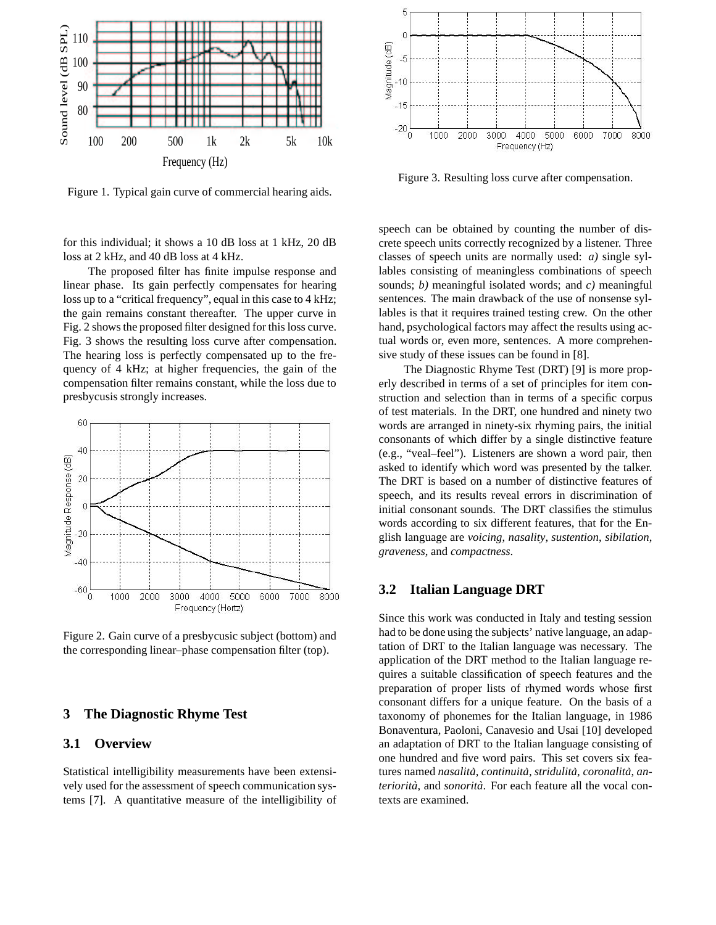

Figure 1. Typical gain curve of commercial hearing aids.

for this individual; it shows a 10 dB loss at 1 kHz, 20 dB loss at 2 kHz, and 40 dB loss at 4 kHz.

The proposed filter has finite impulse response and linear phase. Its gain perfectly compensates for hearing loss up to a "critical frequency", equal in this case to 4 kHz; the gain remains constant thereafter. The upper curve in Fig. 2 shows the proposed filter designed for this loss curve. Fig. 3 shows the resulting loss curve after compensation. The hearing loss is perfectly compensated up to the frequency of 4 kHz; at higher frequencies, the gain of the compensation filter remains constant, while the loss due to presbycusis strongly increases.



Figure 2. Gain curve of a presbycusic subject (bottom) and the corresponding linear–phase compensation filter (top).

## **3 The Diagnostic Rhyme Test**

#### **3.1 Overview**

Statistical intelligibility measurements have been extensively used for the assessment of speech communication systems [7]. A quantitative measure of the intelligibility of



Figure 3. Resulting loss curve after compensation.

speech can be obtained by counting the number of discrete speech units correctly recognized by a listener. Three classes of speech units are normally used: *a)* single syllables consisting of meaningless combinations of speech sounds; *b)* meaningful isolated words; and *c)* meaningful sentences. The main drawback of the use of nonsense syllables is that it requires trained testing crew. On the other hand, psychological factors may affect the results using actual words or, even more, sentences. A more comprehensive study of these issues can be found in [8].

The Diagnostic Rhyme Test (DRT) [9] is more properly described in terms of a set of principles for item construction and selection than in terms of a specific corpus of test materials. In the DRT, one hundred and ninety two words are arranged in ninety-six rhyming pairs, the initial consonants of which differ by a single distinctive feature (e.g., "veal–feel"). Listeners are shown a word pair, then asked to identify which word was presented by the talker. The DRT is based on a number of distinctive features of speech, and its results reveal errors in discrimination of initial consonant sounds. The DRT classifies the stimulus words according to six different features, that for the English language are *voicing*, *nasality*, *sustention*, *sibilation*, *graveness*, and *compactness*.

#### **3.2 Italian Language DRT**

Since this work was conducted in Italy and testing session had to be done using the subjects' native language, an adaptation of DRT to the Italian language was necessary. The application of the DRT method to the Italian language requires a suitable classification of speech features and the preparation of proper lists of rhymed words whose first consonant differs for a unique feature. On the basis of a taxonomy of phonemes for the Italian language, in 1986 Bonaventura, Paoloni, Canavesio and Usai [10] developed an adaptation of DRT to the Italian language consisting of one hundred and five word pairs. This set covers six features named *nasalita`*, *continuita`*, *stridulita`*, *coronalita`*, *anteriorita`*, and *sonorita`*. For each feature all the vocal contexts are examined.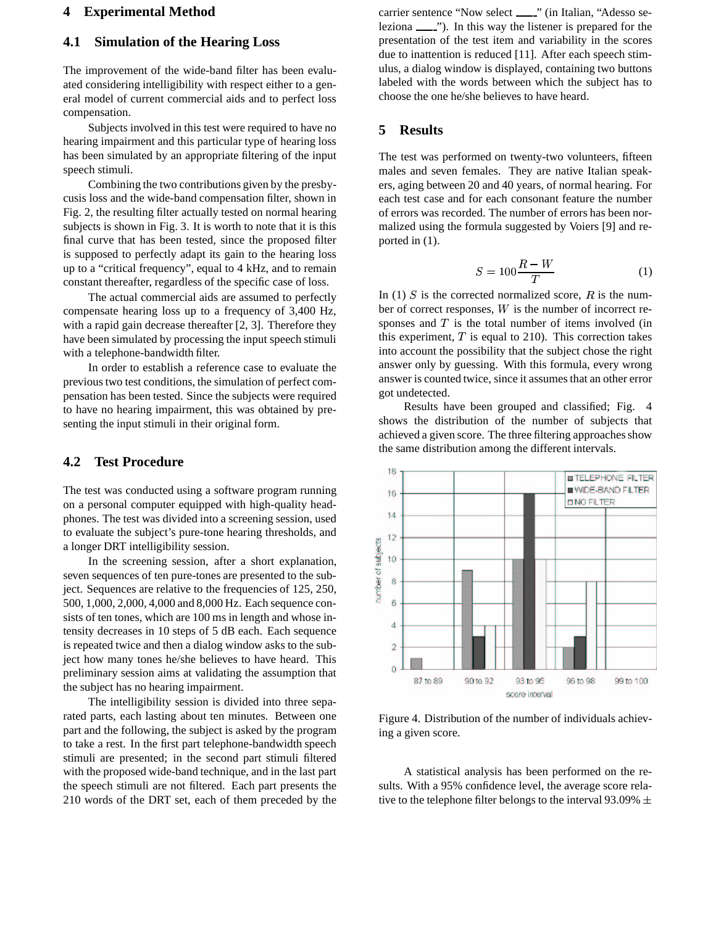## **4 Experimental Method**

## **4.1 Simulation of the Hearing Loss**

The improvement of the wide-band filter has been evaluated considering intelligibility with respect either to a general model of current commercial aids and to perfect loss compensation.

Subjects involved in this test were required to have no hearing impairment and this particular type of hearing loss has been simulated by an appropriate filtering of the input speech stimuli.

Combining the two contributions given by the presbycusis loss and the wide-band compensation filter, shown in Fig. 2, the resulting filter actually tested on normal hearing subjects is shown in Fig. 3. It is worth to note that it is this final curve that has been tested, since the proposed filter is supposed to perfectly adapt its gain to the hearing loss up to a "critical frequency", equal to 4 kHz, and to remain constant thereafter, regardless of the specific case of loss.

The actual commercial aids are assumed to perfectly compensate hearing loss up to a frequency of 3,400 Hz, with a rapid gain decrease thereafter [2, 3]. Therefore they have been simulated by processing the input speech stimuli with a telephone-bandwidth filter.

In order to establish a reference case to evaluate the previoustwo test conditions, the simulation of perfect compensation has been tested. Since the subjects were required to have no hearing impairment, this was obtained by presenting the input stimuli in their original form.

# **4.2 Test Procedure**

The test was conducted using a software program running on a personal computer equipped with high-quality headphones. The test was divided into a screening session, used to evaluate the subject's pure-tone hearing thresholds, and a longer DRT intelligibility session.

In the screening session, after a short explanation, seven sequences of ten pure-tones are presented to the subject. Sequences are relative to the frequencies of 125, 250, 500, 1,000, 2,000, 4,000 and 8,000 Hz. Each sequence consists of ten tones, which are 100 ms in length and whose intensity decreases in 10 steps of 5 dB each. Each sequence is repeated twice and then a dialog window asks to the subject how many tones he/she believes to have heard. This preliminary session aims at validating the assumption that the subject has no hearing impairment.

The intelligibility session is divided into three separated parts, each lasting about ten minutes. Between one part and the following, the subject is asked by the program to take a rest. In the first part telephone-bandwidth speech stimuli are presented; in the second part stimuli filtered with the proposed wide-band technique, and in the last part the speech stimuli are not filtered. Each part presents the 210 words of the DRT set, each of them preceded by the

carrier sentence "Now select \_\_\_" (in Italian, "Adesso seleziona  $\frac{1}{1}$ . In this way the listener is prepared for the presentation of the test item and variability in the scores due to inattention is reduced [11]. After each speech stimulus, a dialog window is displayed, containing two buttons labeled with the words between which the subject has to choose the one he/she believes to have heard.

#### **5 Results**

The test was performed on twenty-two volunteers, fifteen males and seven females. They are native Italian speakers, aging between 20 and 40 years, of normal hearing. For each test case and for each consonant feature the number of errors was recorded. The number of errors has been normalized using the formula suggested by Voiers [9] and reported in (1).

$$
S = 100 \frac{R - W}{T} \tag{1}
$$

In (1) S is the corrected normalized score,  $R$  is the number of correct responses,  $W$  is the number of incorrect responses and  $T$  is the total number of items involved (in this experiment,  $T$  is equal to 210). This correction takes into account the possibility that the subject chose the right answer only by guessing. With this formula, every wrong answer is counted twice, since it assumes that an other error got undetected.

Results have been grouped and classified; Fig. 4 shows the distribution of the number of subjects that achieved a given score. The three filtering approaches show the same distribution among the different intervals.



Figure 4. Distribution of the number of individuals achieving a given score.

A statistical analysis has been performed on the results. With a 95% confidence level, the average score relative to the telephone filter belongs to the interval 93.09%  $\pm$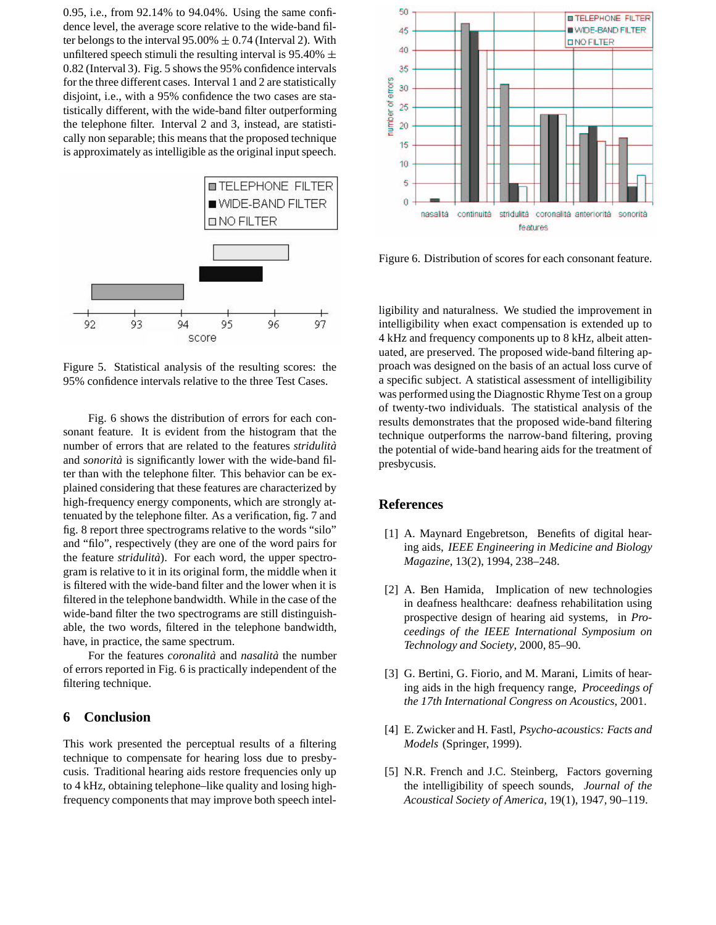0.95, i.e., from 92.14% to 94.04%. Using the same confidence level, the average score relative to the wide-band filter belongs to the interval  $95.00\% \pm 0.74$  (Interval 2). With unfiltered speech stimuli the resulting interval is  $95.40\% \pm 40$ 0.82 (Interval 3). Fig. 5 shows the 95% confidence intervals for the three different cases. Interval 1 and 2 are statistically disjoint, i.e., with a 95% confidence the two cases are statistically different, with the wide-band filter outperforming the telephone filter. Interval 2 and 3, instead, are statistically non separable; this means that the proposed technique is approximately as intelligible as the original input speech.



Figure 5. Statistical analysis of the resulting scores: the 95% confidence intervals relative to the three Test Cases.

Fig. 6 shows the distribution of errors for each consonant feature. It is evident from the histogram that the number of errors that are related to the features *stridulita`* and *sonorita`* is significantly lower with the wide-band filter than with the telephone filter. This behavior can be explained considering that these features are characterized by high-frequency energy components, which are strongly attenuated by the telephone filter. As a verification, fig. 7 and fig. 8 report three spectrograms relative to the words "silo" and "filo", respectively (they are one of the word pairs for the feature *stridulita`*). For each word, the upper spectrogram is relative to it in its original form, the middle when it is filtered with the wide-band filter and the lower when it is filtered in the telephone bandwidth. While in the case of the wide-band filter the two spectrograms are still distinguishable, the two words, filtered in the telephone bandwidth, have, in practice, the same spectrum.

For the features *coronalita`* and *nasalita`* the number of errors reported in Fig. 6 is practically independent of the filtering technique.

#### **6 Conclusion**

This work presented the perceptual results of a filtering technique to compensate for hearing loss due to presbycusis. Traditional hearing aids restore frequencies only up to 4 kHz, obtaining telephone–like quality and losing highfrequency components that may improve both speech intel-



Figure 6. Distribution of scores for each consonant feature.

ligibility and naturalness. We studied the improvement in intelligibility when exact compensation is extended up to 4 kHz and frequency components up to 8 kHz, albeit attenuated, are preserved. The proposed wide-band filtering approach was designed on the basis of an actual loss curve of a specific subject. A statistical assessment of intelligibility was performed using the Diagnostic Rhyme Test on a group of twenty-two individuals. The statistical analysis of the results demonstrates that the proposed wide-band filtering technique outperforms the narrow-band filtering, proving the potential of wide-band hearing aids for the treatment of presbycusis.

#### **References**

- [1] A. Maynard Engebretson, Benefits of digital hearing aids, *IEEE Engineering in Medicine and Biology Magazine*, 13(2), 1994, 238–248.
- [2] A. Ben Hamida, Implication of new technologies in deafness healthcare: deafness rehabilitation using prospective design of hearing aid systems, in *Proceedings of the IEEE International Symposium on Technology and Society*, 2000, 85–90.
- [3] G. Bertini, G. Fiorio, and M. Marani, Limits of hearing aids in the high frequency range, *Proceedings of the 17th International Congress on Acoustics*, 2001.
- [4] E. Zwicker and H. Fastl, *Psycho-acoustics: Facts and Models* (Springer, 1999).
- [5] N.R. French and J.C. Steinberg, Factors governing the intelligibility of speech sounds, *Journal of the Acoustical Society of America*, 19(1), 1947, 90–119.